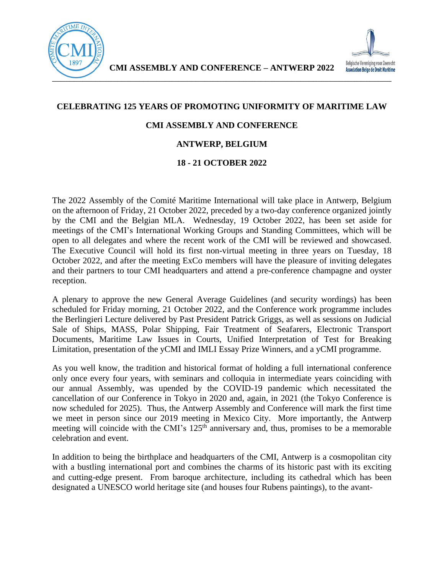

## **CELEBRATING 125 YEARS OF PROMOTING UNIFORMITY OF MARITIME LAW**

## **CMI ASSEMBLY AND CONFERENCE**

## **ANTWERP, BELGIUM**

## **18 - 21 OCTOBER 2022**

The 2022 Assembly of the Comité Maritime International will take place in Antwerp, Belgium on the afternoon of Friday, 21 October 2022, preceded by a two-day conference organized jointly by the CMI and the Belgian MLA. Wednesday, 19 October 2022, has been set aside for meetings of the CMI's International Working Groups and Standing Committees, which will be open to all delegates and where the recent work of the CMI will be reviewed and showcased. The Executive Council will hold its first non-virtual meeting in three years on Tuesday, 18 October 2022, and after the meeting ExCo members will have the pleasure of inviting delegates and their partners to tour CMI headquarters and attend a pre-conference champagne and oyster reception.

A plenary to approve the new General Average Guidelines (and security wordings) has been scheduled for Friday morning, 21 October 2022, and the Conference work programme includes the Berlingieri Lecture delivered by Past President Patrick Griggs, as well as sessions on Judicial Sale of Ships, MASS, Polar Shipping, Fair Treatment of Seafarers, Electronic Transport Documents, Maritime Law Issues in Courts, Unified Interpretation of Test for Breaking Limitation, presentation of the yCMI and IMLI Essay Prize Winners, and a yCMI programme.

As you well know, the tradition and historical format of holding a full international conference only once every four years, with seminars and colloquia in intermediate years coinciding with our annual Assembly, was upended by the COVID-19 pandemic which necessitated the cancellation of our Conference in Tokyo in 2020 and, again, in 2021 (the Tokyo Conference is now scheduled for 2025). Thus, the Antwerp Assembly and Conference will mark the first time we meet in person since our 2019 meeting in Mexico City. More importantly, the Antwerp meeting will coincide with the CMI's  $125<sup>th</sup>$  anniversary and, thus, promises to be a memorable celebration and event.

In addition to being the birthplace and headquarters of the CMI, Antwerp is a cosmopolitan city with a bustling international port and combines the charms of its historic past with its exciting and cutting-edge present. From baroque architecture, including its cathedral which has been designated a UNESCO world heritage site (and houses four Rubens paintings), to the avant-